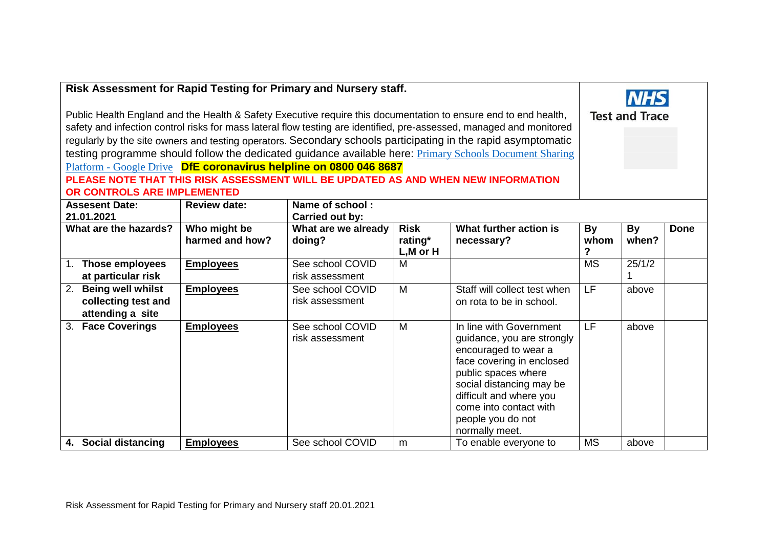| Risk Assessment for Rapid Testing for Primary and Nursery staff.                                                                                                                                                                                                                                                                                                                                                                                                                                                                                                                                                              |                                 |                                     |                                         |                                                                                                                                                                                                                                                           |                          |                       |             |
|-------------------------------------------------------------------------------------------------------------------------------------------------------------------------------------------------------------------------------------------------------------------------------------------------------------------------------------------------------------------------------------------------------------------------------------------------------------------------------------------------------------------------------------------------------------------------------------------------------------------------------|---------------------------------|-------------------------------------|-----------------------------------------|-----------------------------------------------------------------------------------------------------------------------------------------------------------------------------------------------------------------------------------------------------------|--------------------------|-----------------------|-------------|
| Public Health England and the Health & Safety Executive require this documentation to ensure end to end health,<br>safety and infection control risks for mass lateral flow testing are identified, pre-assessed, managed and monitored<br>regularly by the site owners and testing operators. Secondary schools participating in the rapid asymptomatic<br>testing programme should follow the dedicated guidance available here: Primary Schools Document Sharing<br>Platform - Google Drive DfE coronavirus helpline on 0800 046 8687<br>PLEASE NOTE THAT THIS RISK ASSESSMENT WILL BE UPDATED AS AND WHEN NEW INFORMATION |                                 |                                     |                                         |                                                                                                                                                                                                                                                           |                          | <b>Test and Trace</b> |             |
| OR CONTROLS ARE IMPLEMENTED                                                                                                                                                                                                                                                                                                                                                                                                                                                                                                                                                                                                   |                                 |                                     |                                         |                                                                                                                                                                                                                                                           |                          |                       |             |
| Name of school:<br><b>Assesent Date:</b><br><b>Review date:</b><br>21.01.2021<br><b>Carried out by:</b>                                                                                                                                                                                                                                                                                                                                                                                                                                                                                                                       |                                 |                                     |                                         |                                                                                                                                                                                                                                                           |                          |                       |             |
| What are the hazards?                                                                                                                                                                                                                                                                                                                                                                                                                                                                                                                                                                                                         | Who might be<br>harmed and how? | What are we already<br>doing?       | <b>Risk</b><br>rating*<br>$L, M$ or $H$ | What further action is<br>necessary?                                                                                                                                                                                                                      | <b>By</b><br>whom<br>?   | By<br>when?           | <b>Done</b> |
| 1. Those employees<br>at particular risk                                                                                                                                                                                                                                                                                                                                                                                                                                                                                                                                                                                      | <b>Employees</b>                | See school COVID<br>risk assessment | M                                       |                                                                                                                                                                                                                                                           | $\overline{\text{MS}}$   | 25/1/2                |             |
| <b>Being well whilst</b><br>2.<br>collecting test and<br>attending a site                                                                                                                                                                                                                                                                                                                                                                                                                                                                                                                                                     | <b>Employees</b>                | See school COVID<br>risk assessment | M                                       | Staff will collect test when<br>on rota to be in school.                                                                                                                                                                                                  | $\overline{\mathsf{LF}}$ | above                 |             |
| <b>Face Coverings</b><br>3 <sub>1</sub>                                                                                                                                                                                                                                                                                                                                                                                                                                                                                                                                                                                       | <b>Employees</b>                | See school COVID<br>risk assessment | M                                       | In line with Government<br>guidance, you are strongly<br>encouraged to wear a<br>face covering in enclosed<br>public spaces where<br>social distancing may be<br>difficult and where you<br>come into contact with<br>people you do not<br>normally meet. | E                        | above                 |             |
| 4. Social distancing                                                                                                                                                                                                                                                                                                                                                                                                                                                                                                                                                                                                          | <b>Employees</b>                | See school COVID                    | m                                       | To enable everyone to                                                                                                                                                                                                                                     | <b>MS</b>                | above                 |             |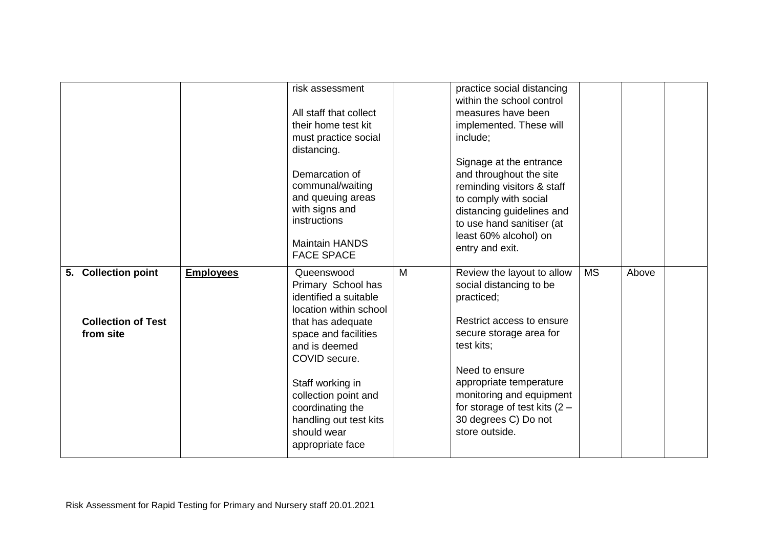|                                                               |                  | risk assessment<br>All staff that collect<br>their home test kit<br>must practice social<br>distancing.<br>Demarcation of<br>communal/waiting<br>and queuing areas<br>with signs and<br>instructions<br><b>Maintain HANDS</b><br><b>FACE SPACE</b>                                              |   | practice social distancing<br>within the school control<br>measures have been<br>implemented. These will<br>include;<br>Signage at the entrance<br>and throughout the site<br>reminding visitors & staff<br>to comply with social<br>distancing guidelines and<br>to use hand sanitiser (at<br>least 60% alcohol) on<br>entry and exit. |           |       |  |
|---------------------------------------------------------------|------------------|-------------------------------------------------------------------------------------------------------------------------------------------------------------------------------------------------------------------------------------------------------------------------------------------------|---|-----------------------------------------------------------------------------------------------------------------------------------------------------------------------------------------------------------------------------------------------------------------------------------------------------------------------------------------|-----------|-------|--|
| 5. Collection point<br><b>Collection of Test</b><br>from site | <b>Employees</b> | Queenswood<br>Primary School has<br>identified a suitable<br>location within school<br>that has adequate<br>space and facilities<br>and is deemed<br>COVID secure.<br>Staff working in<br>collection point and<br>coordinating the<br>handling out test kits<br>should wear<br>appropriate face | M | Review the layout to allow<br>social distancing to be<br>practiced;<br>Restrict access to ensure<br>secure storage area for<br>test kits;<br>Need to ensure<br>appropriate temperature<br>monitoring and equipment<br>for storage of test kits $(2 -$<br>30 degrees C) Do not<br>store outside.                                         | <b>MS</b> | Above |  |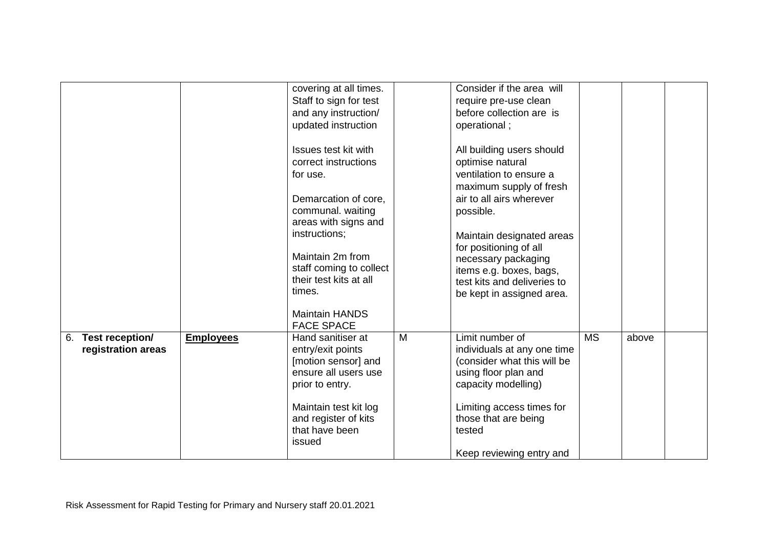|                                             |                  | covering at all times.<br>Staff to sign for test<br>and any instruction/<br>updated instruction<br>Issues test kit with<br>correct instructions<br>for use.<br>Demarcation of core,<br>communal. waiting<br>areas with signs and<br>instructions;<br>Maintain 2m from<br>staff coming to collect<br>their test kits at all<br>times.<br><b>Maintain HANDS</b><br><b>FACE SPACE</b> |   | Consider if the area will<br>require pre-use clean<br>before collection are is<br>operational;<br>All building users should<br>optimise natural<br>ventilation to ensure a<br>maximum supply of fresh<br>air to all airs wherever<br>possible.<br>Maintain designated areas<br>for positioning of all<br>necessary packaging<br>items e.g. boxes, bags,<br>test kits and deliveries to<br>be kept in assigned area. |           |       |  |
|---------------------------------------------|------------------|------------------------------------------------------------------------------------------------------------------------------------------------------------------------------------------------------------------------------------------------------------------------------------------------------------------------------------------------------------------------------------|---|---------------------------------------------------------------------------------------------------------------------------------------------------------------------------------------------------------------------------------------------------------------------------------------------------------------------------------------------------------------------------------------------------------------------|-----------|-------|--|
| Test reception/<br>6.<br>registration areas | <b>Employees</b> | Hand sanitiser at<br>entry/exit points<br>[motion sensor] and<br>ensure all users use<br>prior to entry.<br>Maintain test kit log<br>and register of kits<br>that have been<br>issued                                                                                                                                                                                              | M | Limit number of<br>individuals at any one time<br>(consider what this will be<br>using floor plan and<br>capacity modelling)<br>Limiting access times for<br>those that are being<br>tested<br>Keep reviewing entry and                                                                                                                                                                                             | <b>MS</b> | above |  |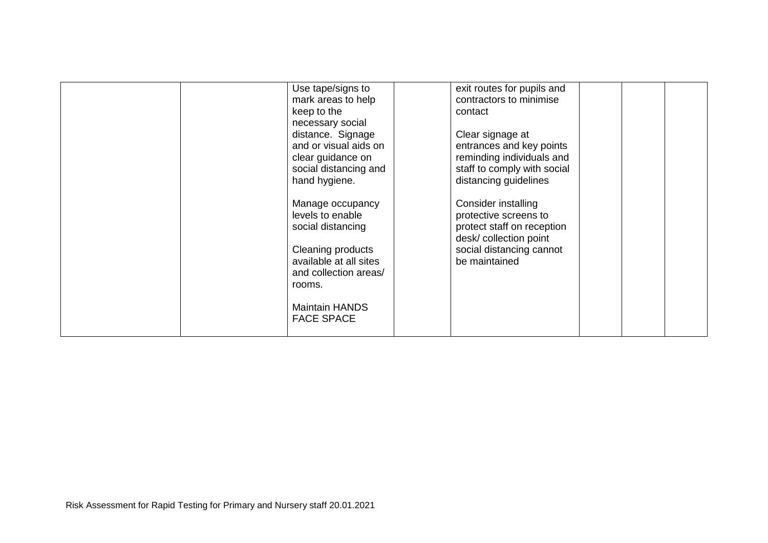| Use tape/signs to<br>mark areas to help<br>keep to the<br>necessary social<br>distance. Signage<br>and or visual aids on<br>clear guidance on<br>social distancing and<br>hand hygiene.<br>Manage occupancy | exit routes for pupils and<br>contractors to minimise<br>contact<br>Clear signage at<br>entrances and key points<br>reminding individuals and<br>staff to comply with social<br>distancing guidelines<br>Consider installing |  |
|-------------------------------------------------------------------------------------------------------------------------------------------------------------------------------------------------------------|------------------------------------------------------------------------------------------------------------------------------------------------------------------------------------------------------------------------------|--|
| levels to enable<br>social distancing<br>Cleaning products<br>available at all sites<br>and collection areas/<br>rooms.<br><b>Maintain HANDS</b><br><b>FACE SPACE</b>                                       | protective screens to<br>protect staff on reception<br>desk/ collection point<br>social distancing cannot<br>be maintained                                                                                                   |  |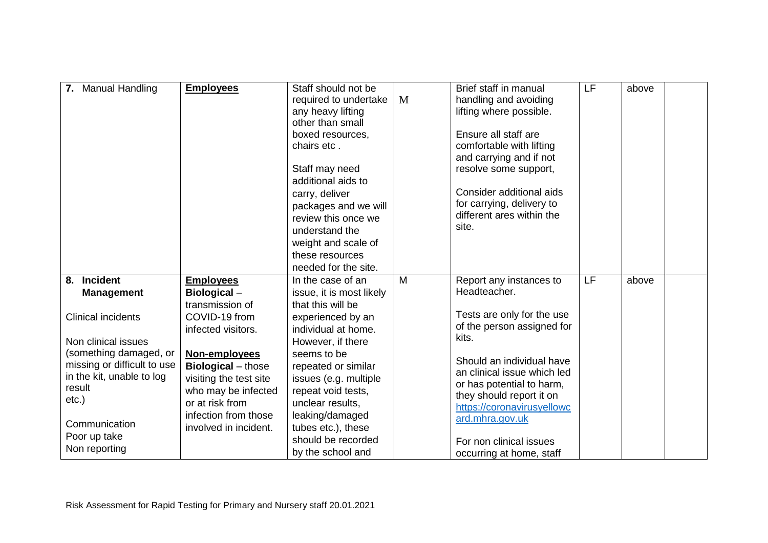| 7. Manual Handling                                                                                                                               | <b>Employees</b>                                                                                                                                                | Staff should not be<br>required to undertake<br>any heavy lifting<br>other than small<br>boxed resources,<br>chairs etc.<br>Staff may need<br>additional aids to<br>carry, deliver<br>packages and we will<br>review this once we<br>understand the<br>weight and scale of<br>these resources | M | Brief staff in manual<br>handling and avoiding<br>lifting where possible.<br>Ensure all staff are<br>comfortable with lifting<br>and carrying and if not<br>resolve some support,<br>Consider additional aids<br>for carrying, delivery to<br>different ares within the<br>site. | LF | above |  |
|--------------------------------------------------------------------------------------------------------------------------------------------------|-----------------------------------------------------------------------------------------------------------------------------------------------------------------|-----------------------------------------------------------------------------------------------------------------------------------------------------------------------------------------------------------------------------------------------------------------------------------------------|---|----------------------------------------------------------------------------------------------------------------------------------------------------------------------------------------------------------------------------------------------------------------------------------|----|-------|--|
| <b>Incident</b><br>8.<br><b>Management</b><br><b>Clinical incidents</b>                                                                          | <b>Employees</b><br>Biological-<br>transmission of<br>COVID-19 from<br>infected visitors.                                                                       | needed for the site.<br>In the case of an<br>issue, it is most likely<br>that this will be<br>experienced by an<br>individual at home.                                                                                                                                                        | M | Report any instances to<br>Headteacher.<br>Tests are only for the use<br>of the person assigned for                                                                                                                                                                              | LF | above |  |
| Non clinical issues<br>(something damaged, or<br>missing or difficult to use<br>in the kit, unable to log<br>result<br>$etc.$ )<br>Communication | Non-employees<br><b>Biological</b> – those<br>visiting the test site<br>who may be infected<br>or at risk from<br>infection from those<br>involved in incident. | However, if there<br>seems to be<br>repeated or similar<br>issues (e.g. multiple<br>repeat void tests,<br>unclear results,<br>leaking/damaged<br>tubes etc.), these                                                                                                                           |   | kits.<br>Should an individual have<br>an clinical issue which led<br>or has potential to harm,<br>they should report it on<br>https://coronavirusyellowc<br>ard.mhra.gov.uk                                                                                                      |    |       |  |
| Poor up take<br>Non reporting                                                                                                                    |                                                                                                                                                                 | should be recorded<br>by the school and                                                                                                                                                                                                                                                       |   | For non clinical issues<br>occurring at home, staff                                                                                                                                                                                                                              |    |       |  |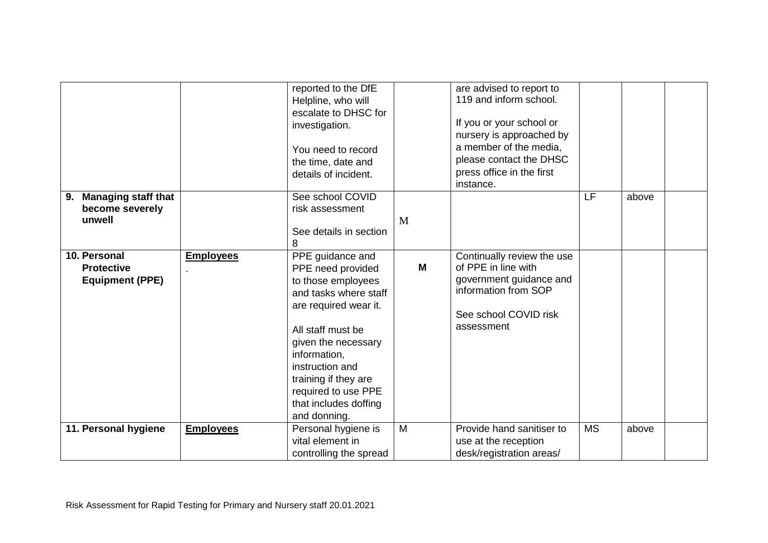|                                                               |                  | reported to the DfE<br>Helpline, who will<br>escalate to DHSC for<br>investigation.<br>You need to record<br>the time, date and<br>details of incident.                                                                                                                              |   | are advised to report to<br>119 and inform school.<br>If you or your school or<br>nursery is approached by<br>a member of the media,<br>please contact the DHSC<br>press office in the first<br>instance. |           |       |  |
|---------------------------------------------------------------|------------------|--------------------------------------------------------------------------------------------------------------------------------------------------------------------------------------------------------------------------------------------------------------------------------------|---|-----------------------------------------------------------------------------------------------------------------------------------------------------------------------------------------------------------|-----------|-------|--|
| <b>Managing staff that</b><br>9.<br>become severely<br>unwell |                  | See school COVID<br>risk assessment<br>See details in section<br>8                                                                                                                                                                                                                   | M |                                                                                                                                                                                                           | LF        | above |  |
| 10. Personal<br><b>Protective</b><br><b>Equipment (PPE)</b>   | <b>Employees</b> | PPE guidance and<br>PPE need provided<br>to those employees<br>and tasks where staff<br>are required wear it.<br>All staff must be<br>given the necessary<br>information,<br>instruction and<br>training if they are<br>required to use PPE<br>that includes doffing<br>and donning. | M | Continually review the use<br>of PPE in line with<br>government guidance and<br>information from SOP<br>See school COVID risk<br>assessment                                                               |           |       |  |
| 11. Personal hygiene                                          | <b>Employees</b> | Personal hygiene is<br>vital element in<br>controlling the spread                                                                                                                                                                                                                    | M | Provide hand sanitiser to<br>use at the reception<br>desk/registration areas/                                                                                                                             | <b>MS</b> | above |  |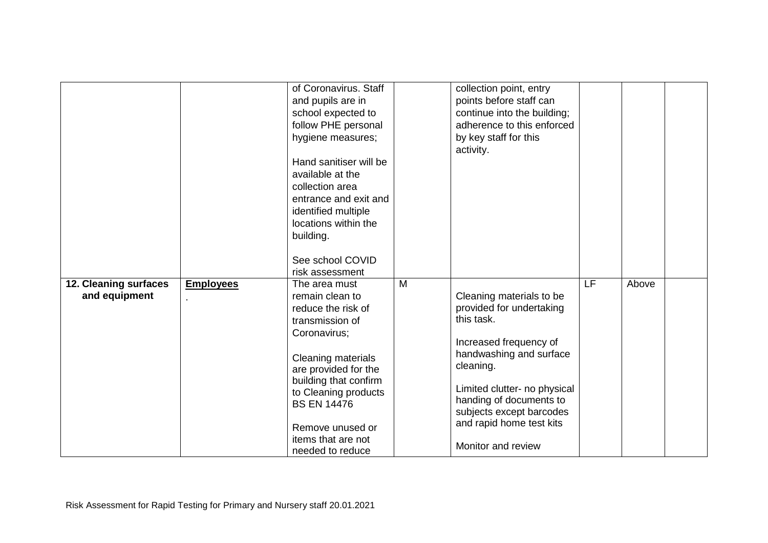|                                        |                  | of Coronavirus. Staff<br>and pupils are in<br>school expected to<br>follow PHE personal<br>hygiene measures;<br>Hand sanitiser will be<br>available at the<br>collection area<br>entrance and exit and<br>identified multiple<br>locations within the<br>building.<br>See school COVID<br>risk assessment |   | collection point, entry<br>points before staff can<br>continue into the building;<br>adherence to this enforced<br>by key staff for this<br>activity.                                                                                                                         |    |       |  |
|----------------------------------------|------------------|-----------------------------------------------------------------------------------------------------------------------------------------------------------------------------------------------------------------------------------------------------------------------------------------------------------|---|-------------------------------------------------------------------------------------------------------------------------------------------------------------------------------------------------------------------------------------------------------------------------------|----|-------|--|
| 12. Cleaning surfaces<br>and equipment | <b>Employees</b> | The area must<br>remain clean to<br>reduce the risk of<br>transmission of<br>Coronavirus;<br>Cleaning materials<br>are provided for the<br>building that confirm<br>to Cleaning products<br><b>BS EN 14476</b><br>Remove unused or<br>items that are not<br>needed to reduce                              | M | Cleaning materials to be<br>provided for undertaking<br>this task.<br>Increased frequency of<br>handwashing and surface<br>cleaning.<br>Limited clutter- no physical<br>handing of documents to<br>subjects except barcodes<br>and rapid home test kits<br>Monitor and review | LF | Above |  |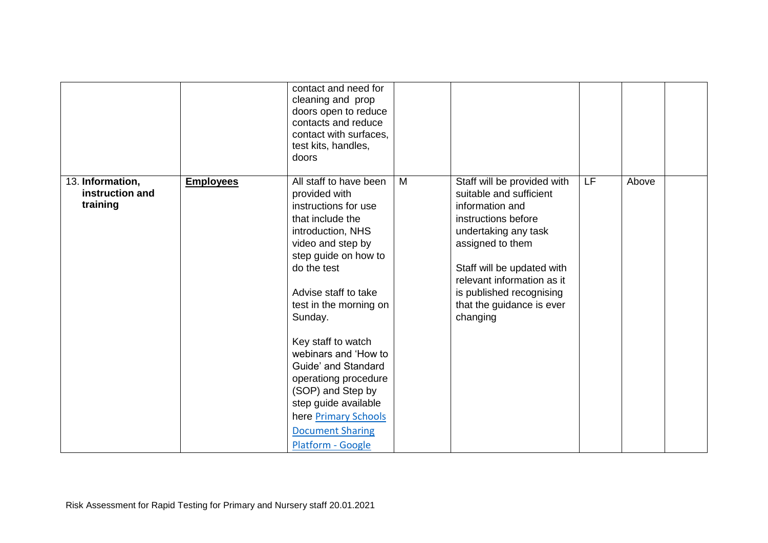|                                                 |                  | contact and need for<br>cleaning and prop<br>doors open to reduce<br>contacts and reduce<br>contact with surfaces,<br>test kits, handles,<br>doors                                                                                                                                                                                                                                                                                                         |   |                                                                                                                                                                                                                                                                               |           |       |  |
|-------------------------------------------------|------------------|------------------------------------------------------------------------------------------------------------------------------------------------------------------------------------------------------------------------------------------------------------------------------------------------------------------------------------------------------------------------------------------------------------------------------------------------------------|---|-------------------------------------------------------------------------------------------------------------------------------------------------------------------------------------------------------------------------------------------------------------------------------|-----------|-------|--|
| 13. Information,<br>instruction and<br>training | <b>Employees</b> | All staff to have been<br>provided with<br>instructions for use<br>that include the<br>introduction, NHS<br>video and step by<br>step guide on how to<br>do the test<br>Advise staff to take<br>test in the morning on<br>Sunday.<br>Key staff to watch<br>webinars and 'How to<br>Guide' and Standard<br>operationg procedure<br>(SOP) and Step by<br>step guide available<br>here <b>Primary Schools</b><br><b>Document Sharing</b><br>Platform - Google | M | Staff will be provided with<br>suitable and sufficient<br>information and<br>instructions before<br>undertaking any task<br>assigned to them<br>Staff will be updated with<br>relevant information as it<br>is published recognising<br>that the guidance is ever<br>changing | <b>LF</b> | Above |  |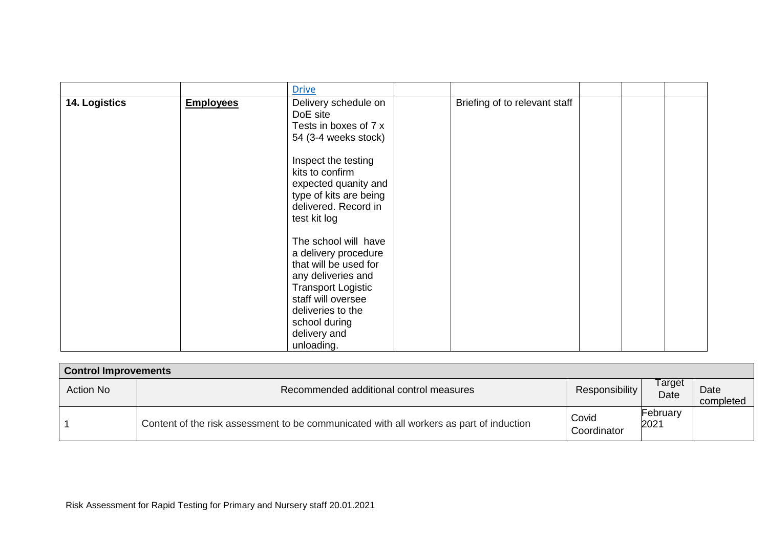| 14. Logistics<br><b>Employees</b> | Delivery schedule on<br>DoE site<br>Tests in boxes of 7 x<br>54 (3-4 weeks stock)                                                                                                                                                                                                                                        | Briefing of to relevant staff |  |  |
|-----------------------------------|--------------------------------------------------------------------------------------------------------------------------------------------------------------------------------------------------------------------------------------------------------------------------------------------------------------------------|-------------------------------|--|--|
|                                   | Inspect the testing<br>kits to confirm<br>expected quanity and<br>type of kits are being<br>delivered. Record in<br>test kit log<br>The school will have<br>a delivery procedure<br>that will be used for<br>any deliveries and<br><b>Transport Logistic</b><br>staff will oversee<br>deliveries to the<br>school during |                               |  |  |
|                                   | delivery and<br>unloading.                                                                                                                                                                                                                                                                                               |                               |  |  |

| <b>Control Improvements</b> |                                                                                         |                      |                  |                   |  |  |  |
|-----------------------------|-----------------------------------------------------------------------------------------|----------------------|------------------|-------------------|--|--|--|
| Action No                   | Recommended additional control measures                                                 | Responsibility       | Γarget<br>Date   | Date<br>completed |  |  |  |
|                             | Content of the risk assessment to be communicated with all workers as part of induction | Covid<br>Coordinator | February<br>2021 |                   |  |  |  |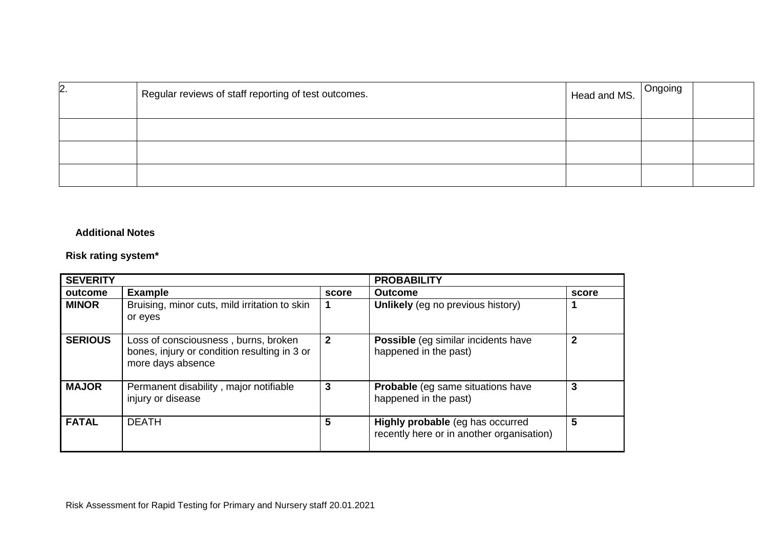| $\mathsf{2}.$ | Regular reviews of staff reporting of test outcomes. | Head and MS. Ongoing |  |
|---------------|------------------------------------------------------|----------------------|--|
|               |                                                      |                      |  |
|               |                                                      |                      |  |
|               |                                                      |                      |  |

## **Additional Notes**

## **Risk rating system\***

| <b>SEVERITY</b> |                                                                                                           |              | <b>PROBABILITY</b>                                                            |       |  |
|-----------------|-----------------------------------------------------------------------------------------------------------|--------------|-------------------------------------------------------------------------------|-------|--|
| outcome         | <b>Example</b>                                                                                            | score        | <b>Outcome</b>                                                                | score |  |
| <b>MINOR</b>    | Bruising, minor cuts, mild irritation to skin<br>or eyes                                                  |              | Unlikely (eg no previous history)                                             |       |  |
| <b>SERIOUS</b>  | Loss of consciousness, burns, broken<br>bones, injury or condition resulting in 3 or<br>more days absence | $\mathbf{2}$ | Possible (eg similar incidents have<br>happened in the past)                  |       |  |
| <b>MAJOR</b>    | Permanent disability, major notifiable<br>injury or disease                                               | 3            | Probable (eg same situations have<br>happened in the past)                    | 3     |  |
| <b>FATAL</b>    | <b>DEATH</b>                                                                                              | 5            | Highly probable (eg has occurred<br>recently here or in another organisation) | 5     |  |